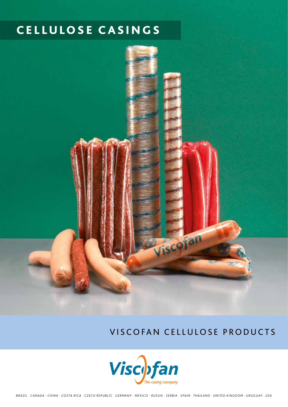# Cellulose CAS ING S



Viscofan cellulose Products

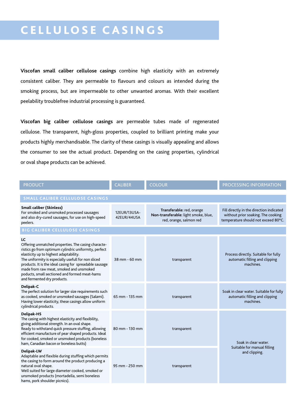# Cellulose CAS ING S

**Viscofan small caliber cellulose casings** combine high elasticity with an extremely consistent caliber. They are permeable to flavours and colours as intended during the smoking process, but are impermeable to other unwanted aromas. With their excellent peelability troublefree industrial processing is guaranteed.

**Viscofan big caliber cellulose casings** are permeable tubes made of regenerated cellulose. The transparent, high-gloss properties, coupled to brilliant printing make your products highly merchandisable. The clarity of these casings is visually appealing and allows the consumer to see the actual product. Depending on the casing properties, cylindrical or oval shape products can be achieved.

| <b>PRODUCT</b>                                                                                                                                                                                                                                                                                                                                                                                            | <b>CALIBER</b>              | <b>COLOUR</b>                                                                                | PROCESSING INFORMATION                                                                                                |  |
|-----------------------------------------------------------------------------------------------------------------------------------------------------------------------------------------------------------------------------------------------------------------------------------------------------------------------------------------------------------------------------------------------------------|-----------------------------|----------------------------------------------------------------------------------------------|-----------------------------------------------------------------------------------------------------------------------|--|
| SMALL CALIBER CELLULOSE CASINGS                                                                                                                                                                                                                                                                                                                                                                           |                             |                                                                                              |                                                                                                                       |  |
| <b>Small caliber (Skinless)</b><br>For smoked and unsmoked processed sausages<br>and also dry-cured sausages, for use on high-speed<br>peelers.                                                                                                                                                                                                                                                           | 12EUR/13USA-<br>42EUR/44USA | Transferable: red, orange<br>Non-transferable: light smoke, blue,<br>red, orange, salmon red | Fill directly in the direction indicated<br>without prior soaking. The cooking<br>temperature should not exceed 80°C. |  |
| <b>BIG CALIBER CELLULOSE CASINGS</b>                                                                                                                                                                                                                                                                                                                                                                      |                             |                                                                                              |                                                                                                                       |  |
| LC<br>Offering unmatched properties. The casing characte-<br>ristics go from optimum cylindric uniformity, perfect<br>elasticity up to highest adaptability.<br>The uniformity is especially usefull for non sliced<br>products. It is the ideal casing for spreadable sausage<br>made from raw meat, smoked and unsmoked<br>poducts, small sectioned and formed meat-hams<br>and fermented dry products. | 38 mm - 60 mm               | transparent                                                                                  | Process directly. Suitable for fully<br>automatic filling and clipping<br>machines.                                   |  |
| Delipak-C<br>The perfect solution for larger size requirements such<br>as cooked, smoked or unsmoked sausages (Salami).<br>Having lower elasticity, these casings allow uniform<br>cylindrical products.                                                                                                                                                                                                  | 65 mm - 135 mm              | transparent                                                                                  | Soak in clear water. Suitable for fully<br>automatic filling and clipping<br>machines.                                |  |
| <b>Delipak-HS</b><br>The casing with highest elasticity and flexibility,<br>giving additional strength. In an oval shape.<br>Ready to withstand quick pressure stuffing, allowing<br>efficient manufacture of pear shaped products. Ideal<br>for cooked, smoked or unsmoked products (boneless<br>ham, Canadian bacon or boneless butts)                                                                  | 80 mm - 130 mm              | transparent                                                                                  | Soak in clear water.<br>Suitable for manual filling<br>and clipping.                                                  |  |
| Delipak-LW<br>Adaptable and flexible during stuffing which permits<br>the casing to form around the product producing a<br>natural oval shape.<br>Well suited for large diameter cooked, smoked or<br>unsmoked products (mortadella, semi boneless<br>hams, pork shoulder picnics).                                                                                                                       | 95 mm - 250 mm              | transparent                                                                                  |                                                                                                                       |  |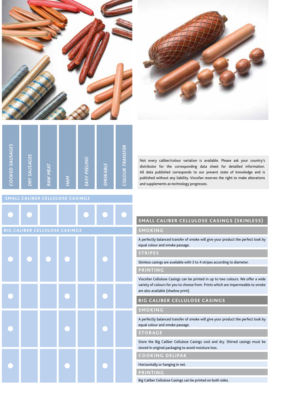



| COOKED SAUSAGES | DRY SAUSACES | <b>RAW MEAT</b> | <b>HAM</b> | <b>EASY PEELING</b> | SMOKABLE | <b>COLOUR TRANSFER</b> |
|-----------------|--------------|-----------------|------------|---------------------|----------|------------------------|
|                 |              |                 |            |                     |          |                        |

Not every caliber/colour variation is available. Please ask your country's distributor for the corresponding data sheet for detailled information. All data published corresponds to our present state of knowledge and is published without any liability. Viscofan reserves the right to make alterations and supplements as technology progresses.

| BIG CALIBER CELLULOSE CASINGS |  |  |  |  |  |  |  |
|-------------------------------|--|--|--|--|--|--|--|
|                               |  |  |  |  |  |  |  |
|                               |  |  |  |  |  |  |  |
|                               |  |  |  |  |  |  |  |
|                               |  |  |  |  |  |  |  |

# **Small Caliber Cellulose Casings (Skinless)**

## **smoking**

A perfectly balanced transfer of smoke will give your product the perfect look by equal colour and smoke passage.

### **stripes**

Skinless casings are available with 3 to 4 stripes according to diameter.

#### **Printing**

Viscofan Cellulose Casings can be printed in up to two colours. We offer a wide variety of colours for you to choose from. Prints which are impermeable to smoke are also available (shadow print).

### **Big Caliber Cellulose Casings**

#### **smoking**

A perfectly balanced transfer of smoke will give your product the perfect look by equal colour and smoke passage.

#### **storage**

Store the Big Caliber Cellulose Casings cool and dry. Shirred casings must be stored in original packaging to avoid moisture loss.

**cooking delipak**

Horizontally or hanging in net.

**printing**

Big Caliber Cellulose Casings can be printed on both sides.